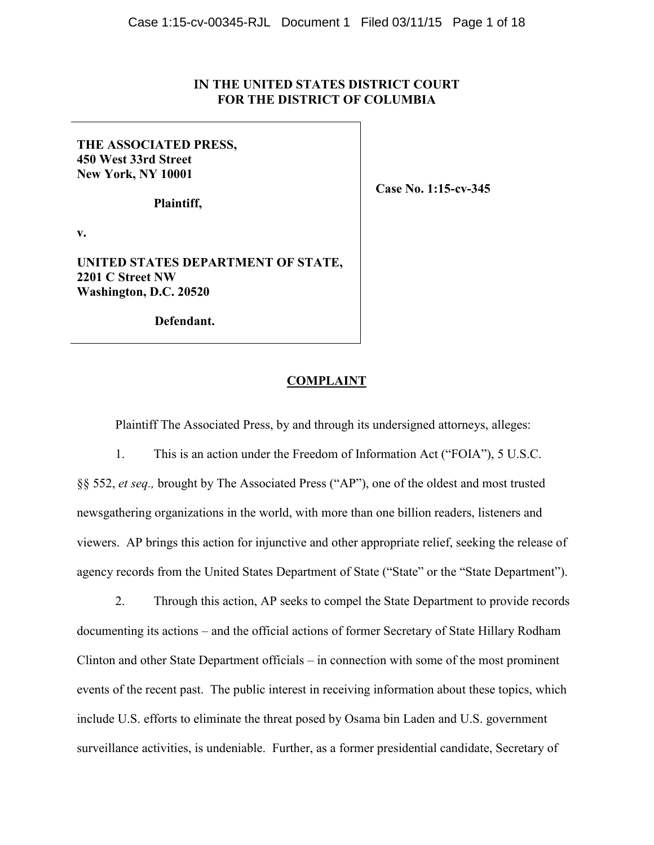# **IN THE UNITED STATES DISTRICT COURT FOR THE DISTRICT OF COLUMBIA**

# **THE ASSOCIATED PRESS, 450 West 33rd Street New York, NY 10001**

 **Plaintiff,** 

**v.** 

**UNITED STATES DEPARTMENT OF STATE, 2201 C Street NW Washington, D.C. 20520** 

 **Defendant.** 

### **COMPLAINT**

Plaintiff The Associated Press, by and through its undersigned attorneys, alleges:

1. This is an action under the Freedom of Information Act ("FOIA"), 5 U.S.C.

§§ 552, *et seq.,* brought by The Associated Press ("AP"), one of the oldest and most trusted newsgathering organizations in the world, with more than one billion readers, listeners and viewers. AP brings this action for injunctive and other appropriate relief, seeking the release of agency records from the United States Department of State ("State" or the "State Department").

2. Through this action, AP seeks to compel the State Department to provide records documenting its actions – and the official actions of former Secretary of State Hillary Rodham Clinton and other State Department officials – in connection with some of the most prominent events of the recent past. The public interest in receiving information about these topics, which include U.S. efforts to eliminate the threat posed by Osama bin Laden and U.S. government surveillance activities, is undeniable. Further, as a former presidential candidate, Secretary of

 **Case No. 1:15-cv-345**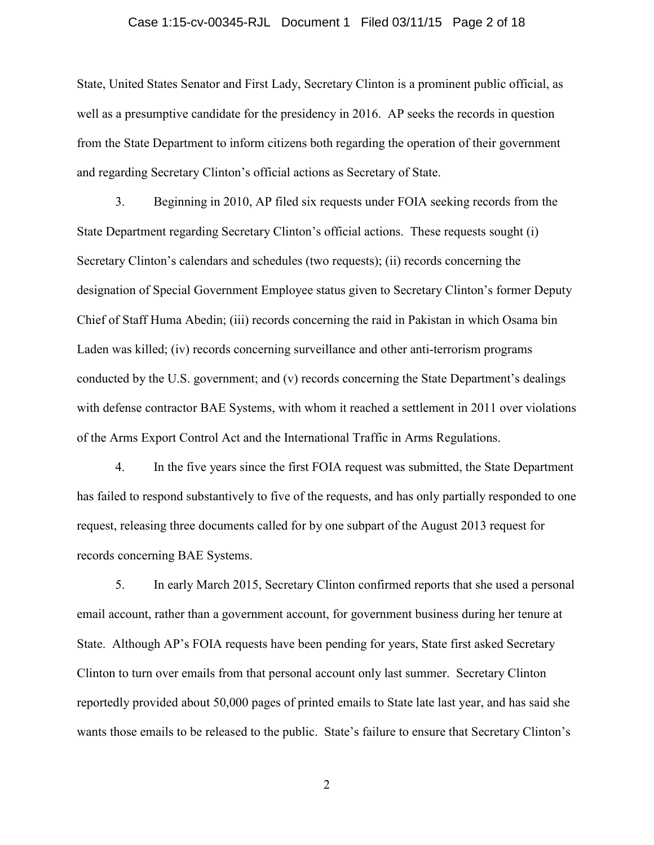### Case 1:15-cv-00345-RJL Document 1 Filed 03/11/15 Page 2 of 18

State, United States Senator and First Lady, Secretary Clinton is a prominent public official, as well as a presumptive candidate for the presidency in 2016. AP seeks the records in question from the State Department to inform citizens both regarding the operation of their government and regarding Secretary Clinton's official actions as Secretary of State.

3. Beginning in 2010, AP filed six requests under FOIA seeking records from the State Department regarding Secretary Clinton's official actions. These requests sought (i) Secretary Clinton's calendars and schedules (two requests); (ii) records concerning the designation of Special Government Employee status given to Secretary Clinton's former Deputy Chief of Staff Huma Abedin; (iii) records concerning the raid in Pakistan in which Osama bin Laden was killed; (iv) records concerning surveillance and other anti-terrorism programs conducted by the U.S. government; and (v) records concerning the State Department's dealings with defense contractor BAE Systems, with whom it reached a settlement in 2011 over violations of the Arms Export Control Act and the International Traffic in Arms Regulations.

4. In the five years since the first FOIA request was submitted, the State Department has failed to respond substantively to five of the requests, and has only partially responded to one request, releasing three documents called for by one subpart of the August 2013 request for records concerning BAE Systems.

5. In early March 2015, Secretary Clinton confirmed reports that she used a personal email account, rather than a government account, for government business during her tenure at State. Although AP's FOIA requests have been pending for years, State first asked Secretary Clinton to turn over emails from that personal account only last summer. Secretary Clinton reportedly provided about 50,000 pages of printed emails to State late last year, and has said she wants those emails to be released to the public. State's failure to ensure that Secretary Clinton's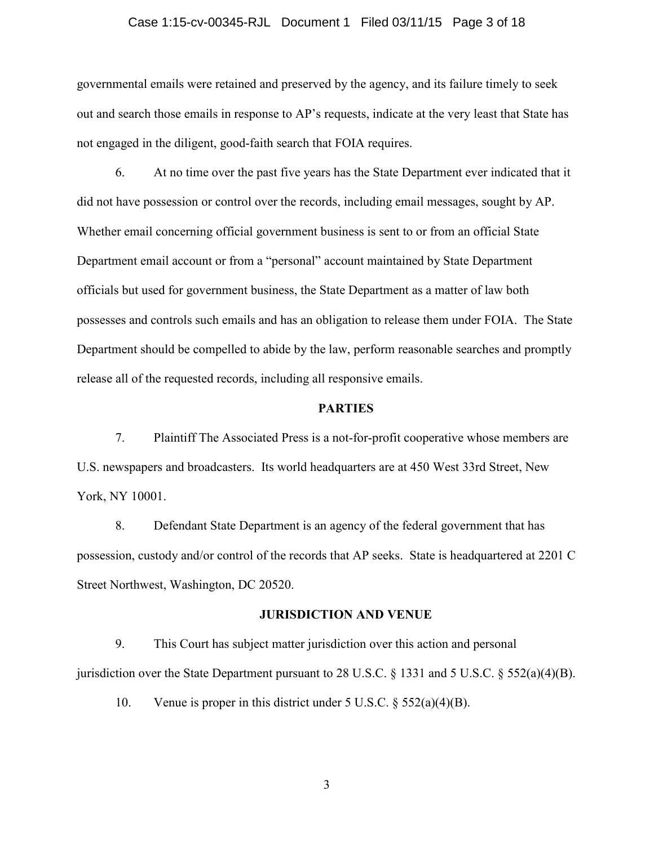### Case 1:15-cv-00345-RJL Document 1 Filed 03/11/15 Page 3 of 18

governmental emails were retained and preserved by the agency, and its failure timely to seek out and search those emails in response to AP's requests, indicate at the very least that State has not engaged in the diligent, good-faith search that FOIA requires.

6. At no time over the past five years has the State Department ever indicated that it did not have possession or control over the records, including email messages, sought by AP. Whether email concerning official government business is sent to or from an official State Department email account or from a "personal" account maintained by State Department officials but used for government business, the State Department as a matter of law both possesses and controls such emails and has an obligation to release them under FOIA. The State Department should be compelled to abide by the law, perform reasonable searches and promptly release all of the requested records, including all responsive emails.

### **PARTIES**

7. Plaintiff The Associated Press is a not-for-profit cooperative whose members are U.S. newspapers and broadcasters. Its world headquarters are at 450 West 33rd Street, New York, NY 10001.

8. Defendant State Department is an agency of the federal government that has possession, custody and/or control of the records that AP seeks. State is headquartered at 2201 C Street Northwest, Washington, DC 20520.

### **JURISDICTION AND VENUE**

9. This Court has subject matter jurisdiction over this action and personal jurisdiction over the State Department pursuant to 28 U.S.C.  $\S$  1331 and 5 U.S.C.  $\S$  552(a)(4)(B).

10. Venue is proper in this district under 5 U.S.C. § 552(a)(4)(B).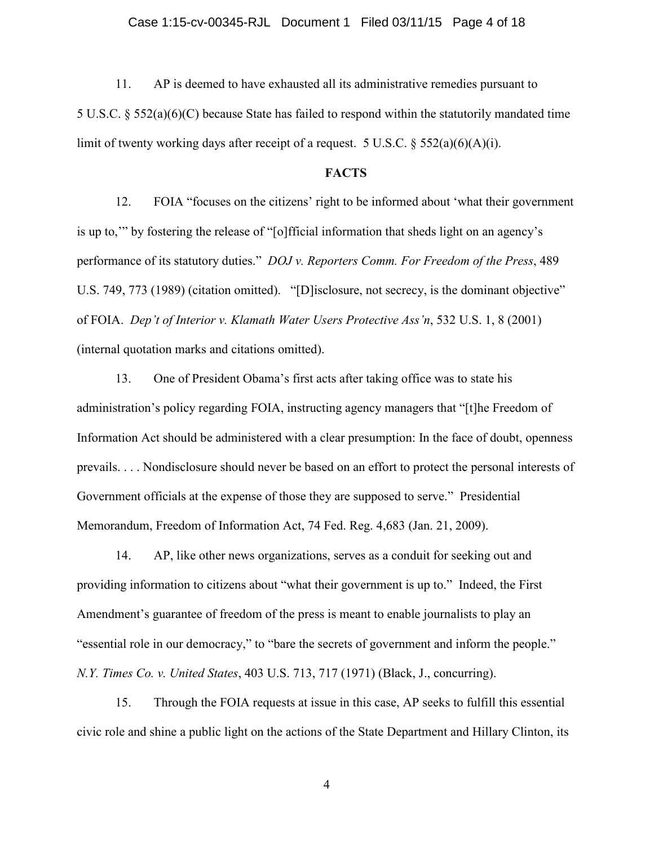### Case 1:15-cv-00345-RJL Document 1 Filed 03/11/15 Page 4 of 18

11. AP is deemed to have exhausted all its administrative remedies pursuant to 5 U.S.C. § 552(a)(6)(C) because State has failed to respond within the statutorily mandated time limit of twenty working days after receipt of a request. 5 U.S.C.  $\S$  552(a)(6)(A)(i).

### **FACTS**

12. FOIA "focuses on the citizens' right to be informed about 'what their government is up to,'" by fostering the release of "[o]fficial information that sheds light on an agency's performance of its statutory duties." *DOJ v. Reporters Comm. For Freedom of the Press*, 489 U.S. 749, 773 (1989) (citation omitted). "[D] isclosure, not secrecy, is the dominant objective" of FOIA. *Dep't of Interior v. Klamath Water Users Protective Ass'n*, 532 U.S. 1, 8 (2001) (internal quotation marks and citations omitted).

13. One of President Obama's first acts after taking office was to state his administration's policy regarding FOIA, instructing agency managers that "[t]he Freedom of Information Act should be administered with a clear presumption: In the face of doubt, openness prevails. . . . Nondisclosure should never be based on an effort to protect the personal interests of Government officials at the expense of those they are supposed to serve." Presidential Memorandum, Freedom of Information Act, 74 Fed. Reg. 4,683 (Jan. 21, 2009).

14. AP, like other news organizations, serves as a conduit for seeking out and providing information to citizens about "what their government is up to." Indeed, the First Amendment's guarantee of freedom of the press is meant to enable journalists to play an "essential role in our democracy," to "bare the secrets of government and inform the people." *N.Y. Times Co. v. United States*, 403 U.S. 713, 717 (1971) (Black, J., concurring).

15. Through the FOIA requests at issue in this case, AP seeks to fulfill this essential civic role and shine a public light on the actions of the State Department and Hillary Clinton, its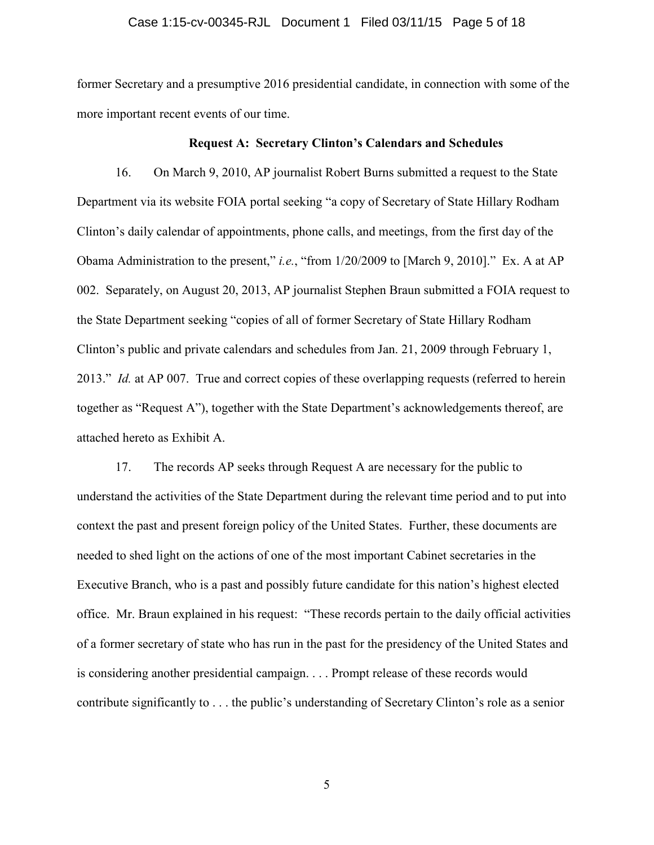### Case 1:15-cv-00345-RJL Document 1 Filed 03/11/15 Page 5 of 18

former Secretary and a presumptive 2016 presidential candidate, in connection with some of the more important recent events of our time.

### **Request A: Secretary Clinton's Calendars and Schedules**

16. On March 9, 2010, AP journalist Robert Burns submitted a request to the State Department via its website FOIA portal seeking "a copy of Secretary of State Hillary Rodham Clinton's daily calendar of appointments, phone calls, and meetings, from the first day of the Obama Administration to the present," *i.e.*, "from 1/20/2009 to [March 9, 2010]." Ex. A at AP 002. Separately, on August 20, 2013, AP journalist Stephen Braun submitted a FOIA request to the State Department seeking "copies of all of former Secretary of State Hillary Rodham Clinton's public and private calendars and schedules from Jan. 21, 2009 through February 1, 2013." *Id.* at AP 007. True and correct copies of these overlapping requests (referred to herein together as "Request A"), together with the State Department's acknowledgements thereof, are attached hereto as Exhibit A.

17. The records AP seeks through Request A are necessary for the public to understand the activities of the State Department during the relevant time period and to put into context the past and present foreign policy of the United States. Further, these documents are needed to shed light on the actions of one of the most important Cabinet secretaries in the Executive Branch, who is a past and possibly future candidate for this nation's highest elected office. Mr. Braun explained in his request: "These records pertain to the daily official activities of a former secretary of state who has run in the past for the presidency of the United States and is considering another presidential campaign. . . . Prompt release of these records would contribute significantly to . . . the public's understanding of Secretary Clinton's role as a senior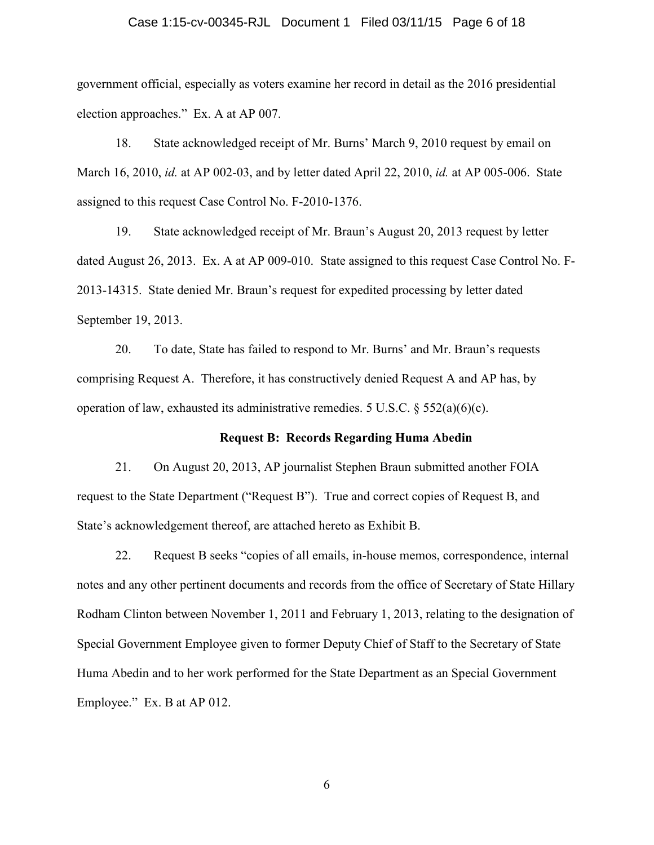### Case 1:15-cv-00345-RJL Document 1 Filed 03/11/15 Page 6 of 18

government official, especially as voters examine her record in detail as the 2016 presidential election approaches." Ex. A at AP 007.

18. State acknowledged receipt of Mr. Burns' March 9, 2010 request by email on March 16, 2010, *id.* at AP 002-03, and by letter dated April 22, 2010, *id.* at AP 005-006. State assigned to this request Case Control No. F-2010-1376.

19. State acknowledged receipt of Mr. Braun's August 20, 2013 request by letter dated August 26, 2013. Ex. A at AP 009-010. State assigned to this request Case Control No. F-2013-14315. State denied Mr. Braun's request for expedited processing by letter dated September 19, 2013.

20. To date, State has failed to respond to Mr. Burns' and Mr. Braun's requests comprising Request A. Therefore, it has constructively denied Request A and AP has, by operation of law, exhausted its administrative remedies. 5 U.S.C.  $\S$  552(a)(6)(c).

### **Request B: Records Regarding Huma Abedin**

21. On August 20, 2013, AP journalist Stephen Braun submitted another FOIA request to the State Department ("Request B"). True and correct copies of Request B, and State's acknowledgement thereof, are attached hereto as Exhibit B.

22. Request B seeks "copies of all emails, in-house memos, correspondence, internal notes and any other pertinent documents and records from the office of Secretary of State Hillary Rodham Clinton between November 1, 2011 and February 1, 2013, relating to the designation of Special Government Employee given to former Deputy Chief of Staff to the Secretary of State Huma Abedin and to her work performed for the State Department as an Special Government Employee." Ex. B at AP 012.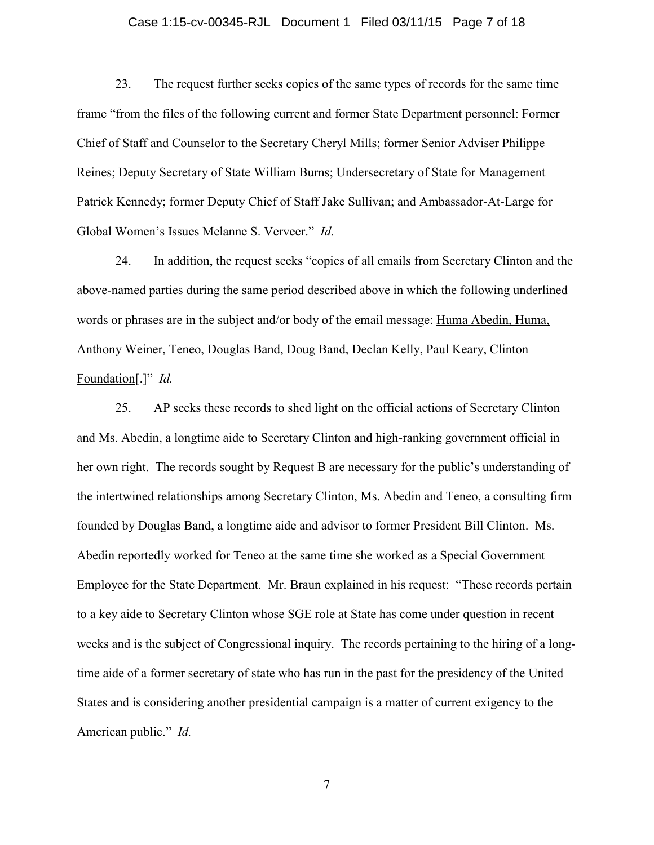### Case 1:15-cv-00345-RJL Document 1 Filed 03/11/15 Page 7 of 18

23. The request further seeks copies of the same types of records for the same time frame "from the files of the following current and former State Department personnel: Former Chief of Staff and Counselor to the Secretary Cheryl Mills; former Senior Adviser Philippe Reines; Deputy Secretary of State William Burns; Undersecretary of State for Management Patrick Kennedy; former Deputy Chief of Staff Jake Sullivan; and Ambassador-At-Large for Global Women's Issues Melanne S. Verveer." *Id.* 

24. In addition, the request seeks "copies of all emails from Secretary Clinton and the above-named parties during the same period described above in which the following underlined words or phrases are in the subject and/or body of the email message: Huma Abedin, Huma, Anthony Weiner, Teneo, Douglas Band, Doug Band, Declan Kelly, Paul Keary, Clinton Foundation[.]" *Id.*

25. AP seeks these records to shed light on the official actions of Secretary Clinton and Ms. Abedin, a longtime aide to Secretary Clinton and high-ranking government official in her own right. The records sought by Request B are necessary for the public's understanding of the intertwined relationships among Secretary Clinton, Ms. Abedin and Teneo, a consulting firm founded by Douglas Band, a longtime aide and advisor to former President Bill Clinton. Ms. Abedin reportedly worked for Teneo at the same time she worked as a Special Government Employee for the State Department. Mr. Braun explained in his request: "These records pertain to a key aide to Secretary Clinton whose SGE role at State has come under question in recent weeks and is the subject of Congressional inquiry. The records pertaining to the hiring of a longtime aide of a former secretary of state who has run in the past for the presidency of the United States and is considering another presidential campaign is a matter of current exigency to the American public." *Id.*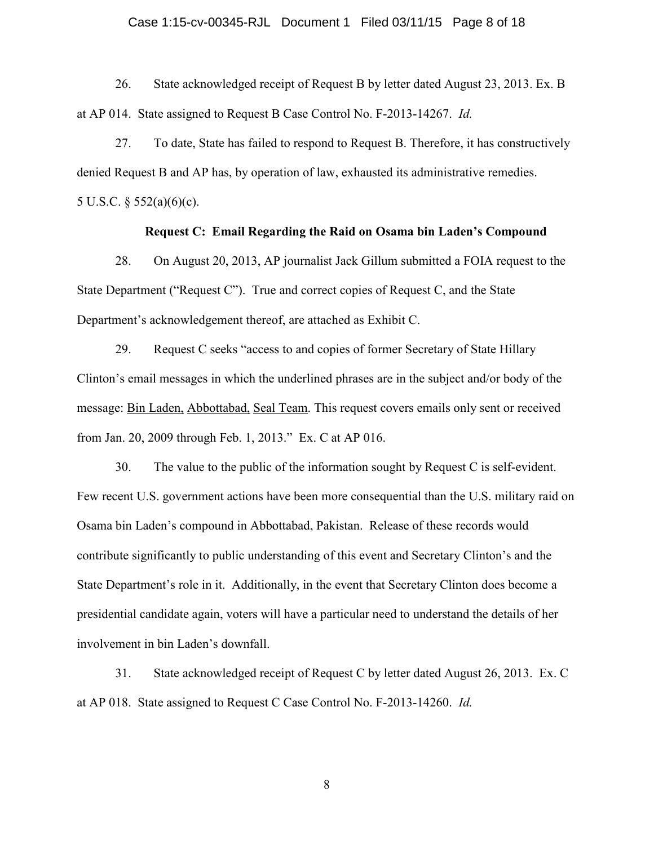### Case 1:15-cv-00345-RJL Document 1 Filed 03/11/15 Page 8 of 18

26. State acknowledged receipt of Request B by letter dated August 23, 2013. Ex. B at AP 014. State assigned to Request B Case Control No. F-2013-14267. *Id.*

27. To date, State has failed to respond to Request B. Therefore, it has constructively denied Request B and AP has, by operation of law, exhausted its administrative remedies. 5 U.S.C. § 552(a)(6)(c).

# **Request C: Email Regarding the Raid on Osama bin Laden's Compound**

28. On August 20, 2013, AP journalist Jack Gillum submitted a FOIA request to the State Department ("Request C"). True and correct copies of Request C, and the State Department's acknowledgement thereof, are attached as Exhibit C.

29. Request C seeks "access to and copies of former Secretary of State Hillary Clinton's email messages in which the underlined phrases are in the subject and/or body of the message: Bin Laden, Abbottabad, Seal Team. This request covers emails only sent or received from Jan. 20, 2009 through Feb. 1, 2013." Ex. C at AP 016.

30. The value to the public of the information sought by Request C is self-evident. Few recent U.S. government actions have been more consequential than the U.S. military raid on Osama bin Laden's compound in Abbottabad, Pakistan. Release of these records would contribute significantly to public understanding of this event and Secretary Clinton's and the State Department's role in it. Additionally, in the event that Secretary Clinton does become a presidential candidate again, voters will have a particular need to understand the details of her involvement in bin Laden's downfall.

31. State acknowledged receipt of Request C by letter dated August 26, 2013. Ex. C at AP 018. State assigned to Request C Case Control No. F-2013-14260. *Id.*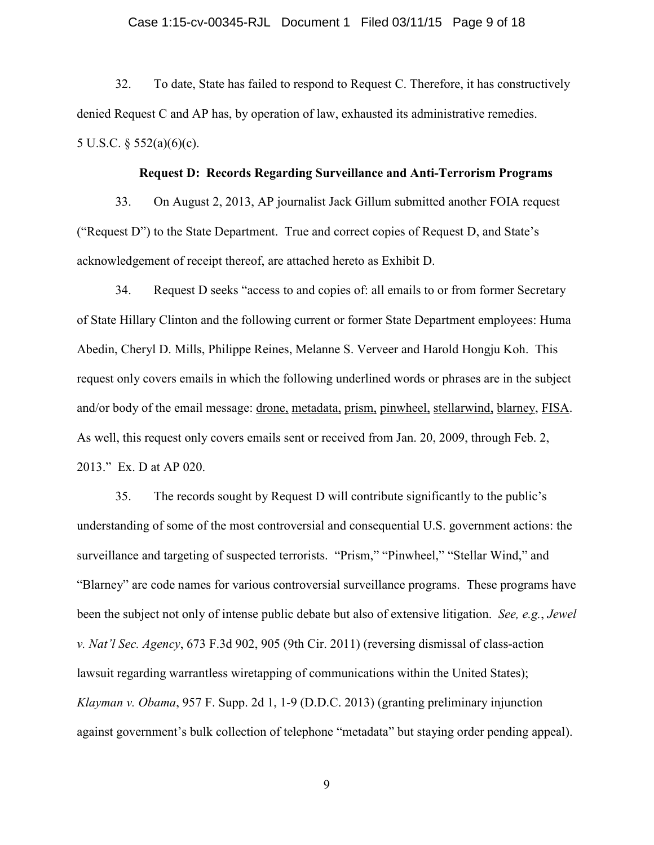### Case 1:15-cv-00345-RJL Document 1 Filed 03/11/15 Page 9 of 18

32. To date, State has failed to respond to Request C. Therefore, it has constructively denied Request C and AP has, by operation of law, exhausted its administrative remedies. 5 U.S.C. § 552(a)(6)(c).

### **Request D: Records Regarding Surveillance and Anti-Terrorism Programs**

33. On August 2, 2013, AP journalist Jack Gillum submitted another FOIA request ("Request D") to the State Department. True and correct copies of Request D, and State's acknowledgement of receipt thereof, are attached hereto as Exhibit D.

34. Request D seeks "access to and copies of: all emails to or from former Secretary of State Hillary Clinton and the following current or former State Department employees: Huma Abedin, Cheryl D. Mills, Philippe Reines, Melanne S. Verveer and Harold Hongju Koh. This request only covers emails in which the following underlined words or phrases are in the subject and/or body of the email message: drone, metadata, prism, pinwheel, stellarwind, blarney, FISA. As well, this request only covers emails sent or received from Jan. 20, 2009, through Feb. 2, 2013." Ex. D at AP 020.

35. The records sought by Request D will contribute significantly to the public's understanding of some of the most controversial and consequential U.S. government actions: the surveillance and targeting of suspected terrorists. "Prism," "Pinwheel," "Stellar Wind," and "Blarney" are code names for various controversial surveillance programs. These programs have been the subject not only of intense public debate but also of extensive litigation. *See, e.g.*, *Jewel v. Nat'l Sec. Agency*, 673 F.3d 902, 905 (9th Cir. 2011) (reversing dismissal of class-action lawsuit regarding warrantless wiretapping of communications within the United States); *Klayman v. Obama*, 957 F. Supp. 2d 1, 1-9 (D.D.C. 2013) (granting preliminary injunction against government's bulk collection of telephone "metadata" but staying order pending appeal).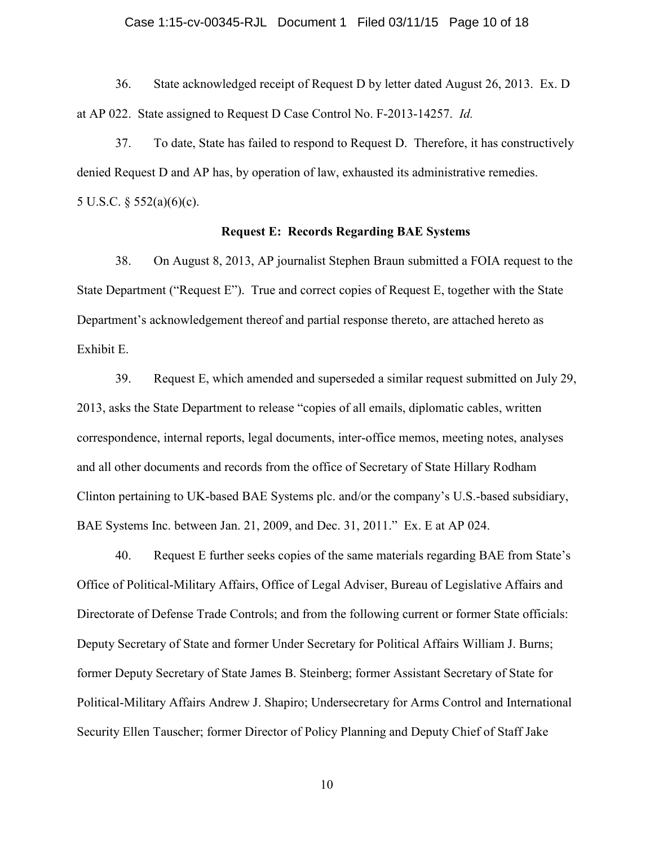### Case 1:15-cv-00345-RJL Document 1 Filed 03/11/15 Page 10 of 18

36. State acknowledged receipt of Request D by letter dated August 26, 2013. Ex. D at AP 022. State assigned to Request D Case Control No. F-2013-14257. *Id.*

37. To date, State has failed to respond to Request D. Therefore, it has constructively denied Request D and AP has, by operation of law, exhausted its administrative remedies. 5 U.S.C. § 552(a)(6)(c).

### **Request E: Records Regarding BAE Systems**

38. On August 8, 2013, AP journalist Stephen Braun submitted a FOIA request to the State Department ("Request E"). True and correct copies of Request E, together with the State Department's acknowledgement thereof and partial response thereto, are attached hereto as Exhibit E.

39. Request E, which amended and superseded a similar request submitted on July 29, 2013, asks the State Department to release "copies of all emails, diplomatic cables, written correspondence, internal reports, legal documents, inter-office memos, meeting notes, analyses and all other documents and records from the office of Secretary of State Hillary Rodham Clinton pertaining to UK-based BAE Systems plc. and/or the company's U.S.-based subsidiary, BAE Systems Inc. between Jan. 21, 2009, and Dec. 31, 2011." Ex. E at AP 024.

40. Request E further seeks copies of the same materials regarding BAE from State's Office of Political-Military Affairs, Office of Legal Adviser, Bureau of Legislative Affairs and Directorate of Defense Trade Controls; and from the following current or former State officials: Deputy Secretary of State and former Under Secretary for Political Affairs William J. Burns; former Deputy Secretary of State James B. Steinberg; former Assistant Secretary of State for Political-Military Affairs Andrew J. Shapiro; Undersecretary for Arms Control and International Security Ellen Tauscher; former Director of Policy Planning and Deputy Chief of Staff Jake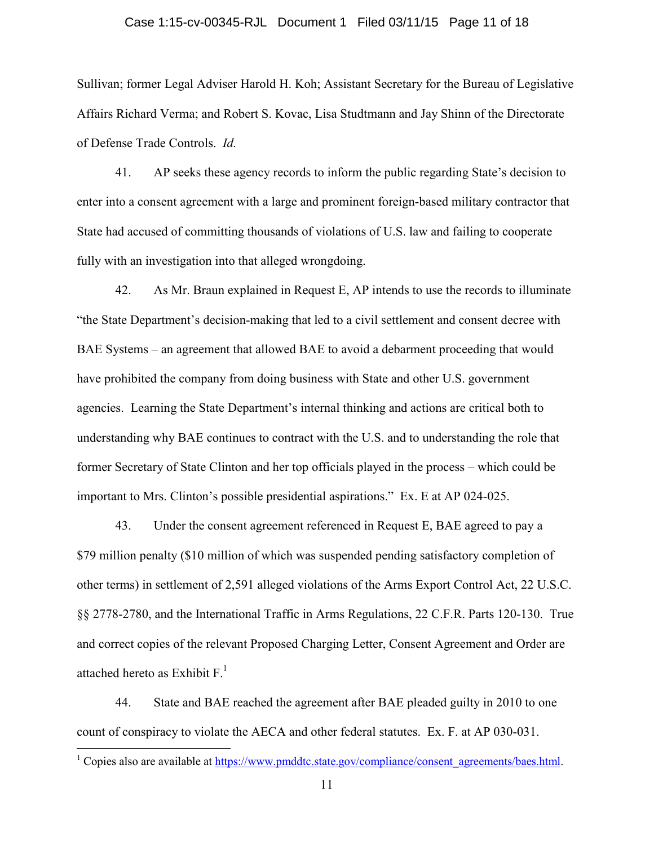### Case 1:15-cv-00345-RJL Document 1 Filed 03/11/15 Page 11 of 18

Sullivan; former Legal Adviser Harold H. Koh; Assistant Secretary for the Bureau of Legislative Affairs Richard Verma; and Robert S. Kovac, Lisa Studtmann and Jay Shinn of the Directorate of Defense Trade Controls. *Id.*

41. AP seeks these agency records to inform the public regarding State's decision to enter into a consent agreement with a large and prominent foreign-based military contractor that State had accused of committing thousands of violations of U.S. law and failing to cooperate fully with an investigation into that alleged wrongdoing.

42. As Mr. Braun explained in Request E, AP intends to use the records to illuminate "the State Department's decision-making that led to a civil settlement and consent decree with BAE Systems – an agreement that allowed BAE to avoid a debarment proceeding that would have prohibited the company from doing business with State and other U.S. government agencies. Learning the State Department's internal thinking and actions are critical both to understanding why BAE continues to contract with the U.S. and to understanding the role that former Secretary of State Clinton and her top officials played in the process – which could be important to Mrs. Clinton's possible presidential aspirations." Ex. E at AP 024-025.

43. Under the consent agreement referenced in Request E, BAE agreed to pay a \$79 million penalty (\$10 million of which was suspended pending satisfactory completion of other terms) in settlement of 2,591 alleged violations of the Arms Export Control Act, 22 U.S.C. §§ 2778-2780, and the International Traffic in Arms Regulations, 22 C.F.R. Parts 120-130. True and correct copies of the relevant Proposed Charging Letter, Consent Agreement and Order are attached hereto as Exhibit  $F<sup>1</sup>$ .

44. State and BAE reached the agreement after BAE pleaded guilty in 2010 to one count of conspiracy to violate the AECA and other federal statutes. Ex. F. at AP 030-031.

 $\overline{a}$ 

<sup>&</sup>lt;sup>1</sup> Copies also are available at https://www.pmddtc.state.gov/compliance/consent\_agreements/baes.html.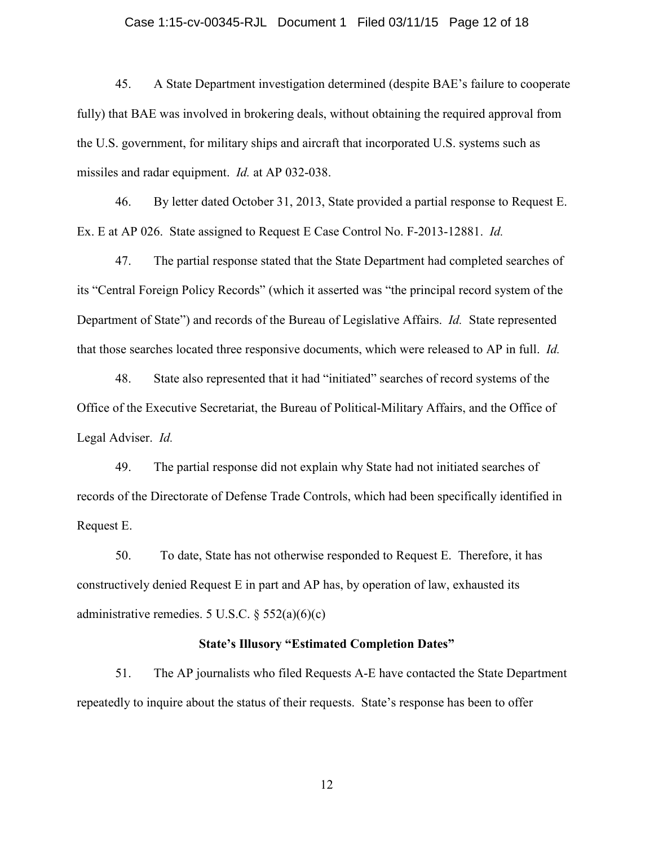#### Case 1:15-cv-00345-RJL Document 1 Filed 03/11/15 Page 12 of 18

45. A State Department investigation determined (despite BAE's failure to cooperate fully) that BAE was involved in brokering deals, without obtaining the required approval from the U.S. government, for military ships and aircraft that incorporated U.S. systems such as missiles and radar equipment. *Id.* at AP 032-038.

46. By letter dated October 31, 2013, State provided a partial response to Request E. Ex. E at AP 026. State assigned to Request E Case Control No. F-2013-12881. *Id.*

47. The partial response stated that the State Department had completed searches of its "Central Foreign Policy Records" (which it asserted was "the principal record system of the Department of State") and records of the Bureau of Legislative Affairs. *Id.* State represented that those searches located three responsive documents, which were released to AP in full. *Id.*

48. State also represented that it had "initiated" searches of record systems of the Office of the Executive Secretariat, the Bureau of Political-Military Affairs, and the Office of Legal Adviser. *Id.*

49. The partial response did not explain why State had not initiated searches of records of the Directorate of Defense Trade Controls, which had been specifically identified in Request E.

50. To date, State has not otherwise responded to Request E. Therefore, it has constructively denied Request E in part and AP has, by operation of law, exhausted its administrative remedies. 5 U.S.C.  $\S$  552(a)(6)(c)

### **State's Illusory "Estimated Completion Dates"**

51. The AP journalists who filed Requests A-E have contacted the State Department repeatedly to inquire about the status of their requests. State's response has been to offer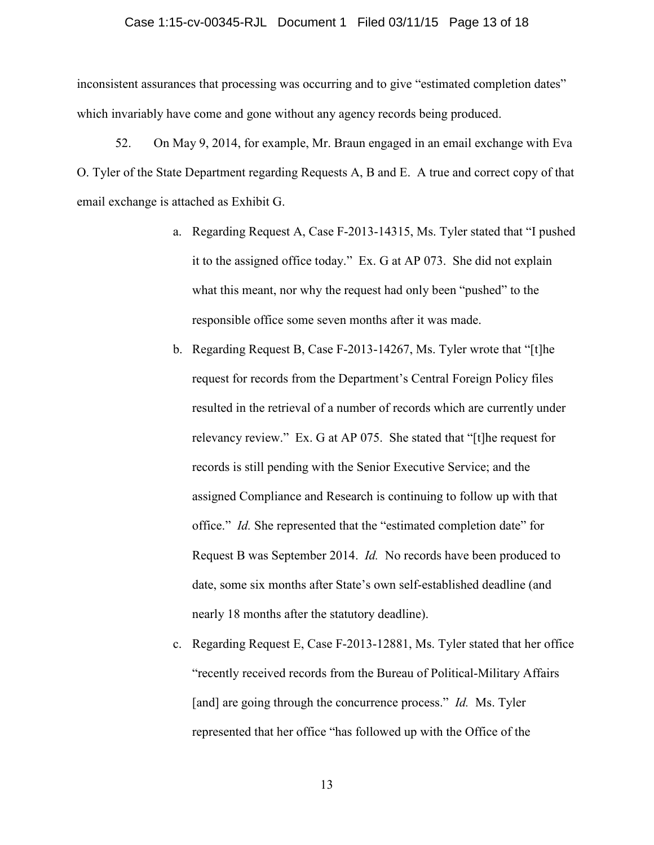### Case 1:15-cv-00345-RJL Document 1 Filed 03/11/15 Page 13 of 18

inconsistent assurances that processing was occurring and to give "estimated completion dates" which invariably have come and gone without any agency records being produced.

52. On May 9, 2014, for example, Mr. Braun engaged in an email exchange with Eva O. Tyler of the State Department regarding Requests A, B and E. A true and correct copy of that email exchange is attached as Exhibit G.

- a. Regarding Request A, Case F-2013-14315, Ms. Tyler stated that "I pushed it to the assigned office today." Ex. G at AP 073. She did not explain what this meant, nor why the request had only been "pushed" to the responsible office some seven months after it was made.
- b. Regarding Request B, Case F-2013-14267, Ms. Tyler wrote that "[t]he request for records from the Department's Central Foreign Policy files resulted in the retrieval of a number of records which are currently under relevancy review." Ex. G at AP 075. She stated that "[t]he request for records is still pending with the Senior Executive Service; and the assigned Compliance and Research is continuing to follow up with that office." *Id.* She represented that the "estimated completion date" for Request B was September 2014. *Id.* No records have been produced to date, some six months after State's own self-established deadline (and nearly 18 months after the statutory deadline).
- c. Regarding Request E, Case F-2013-12881, Ms. Tyler stated that her office "recently received records from the Bureau of Political-Military Affairs [and] are going through the concurrence process." *Id.* Ms. Tyler represented that her office "has followed up with the Office of the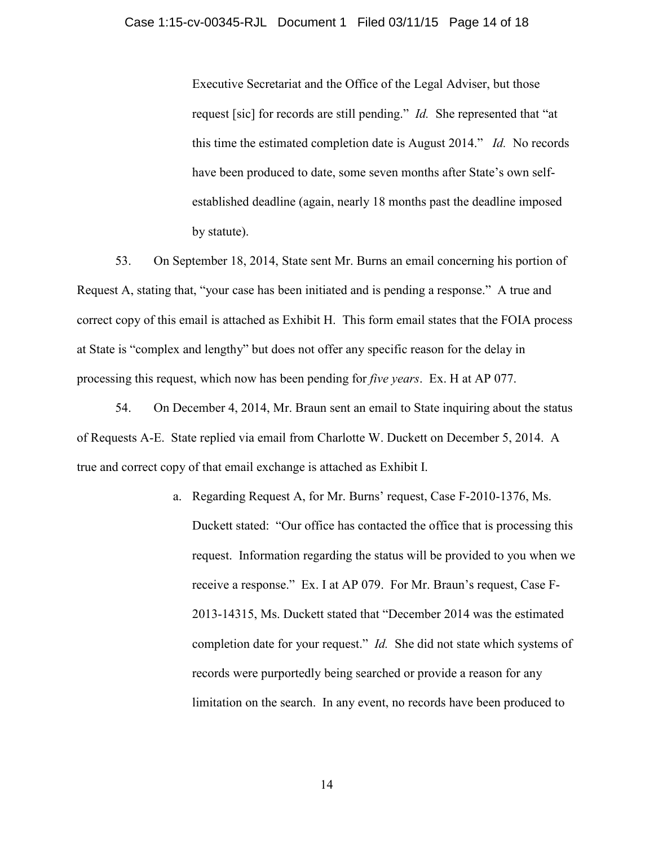Executive Secretariat and the Office of the Legal Adviser, but those request [sic] for records are still pending." *Id.* She represented that "at this time the estimated completion date is August 2014." *Id.* No records have been produced to date, some seven months after State's own selfestablished deadline (again, nearly 18 months past the deadline imposed by statute).

53. On September 18, 2014, State sent Mr. Burns an email concerning his portion of Request A, stating that, "your case has been initiated and is pending a response." A true and correct copy of this email is attached as Exhibit H. This form email states that the FOIA process at State is "complex and lengthy" but does not offer any specific reason for the delay in processing this request, which now has been pending for *five years*. Ex. H at AP 077.

54. On December 4, 2014, Mr. Braun sent an email to State inquiring about the status of Requests A-E. State replied via email from Charlotte W. Duckett on December 5, 2014. A true and correct copy of that email exchange is attached as Exhibit I.

> a. Regarding Request A, for Mr. Burns' request, Case F-2010-1376, Ms. Duckett stated: "Our office has contacted the office that is processing this request. Information regarding the status will be provided to you when we receive a response." Ex. I at AP 079. For Mr. Braun's request, Case F-2013-14315, Ms. Duckett stated that "December 2014 was the estimated completion date for your request." *Id.* She did not state which systems of records were purportedly being searched or provide a reason for any limitation on the search. In any event, no records have been produced to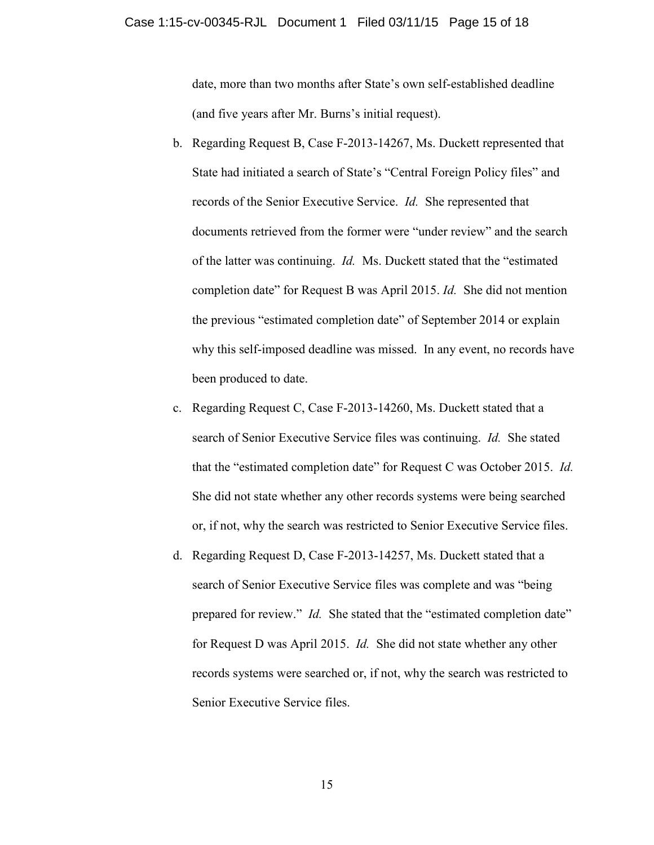date, more than two months after State's own self-established deadline (and five years after Mr. Burns's initial request).

- b. Regarding Request B, Case F-2013-14267, Ms. Duckett represented that State had initiated a search of State's "Central Foreign Policy files" and records of the Senior Executive Service. *Id.* She represented that documents retrieved from the former were "under review" and the search of the latter was continuing. *Id.* Ms. Duckett stated that the "estimated completion date" for Request B was April 2015. *Id.* She did not mention the previous "estimated completion date" of September 2014 or explain why this self-imposed deadline was missed. In any event, no records have been produced to date.
- c. Regarding Request C, Case F-2013-14260, Ms. Duckett stated that a search of Senior Executive Service files was continuing. *Id.* She stated that the "estimated completion date" for Request C was October 2015. *Id.* She did not state whether any other records systems were being searched or, if not, why the search was restricted to Senior Executive Service files.
- d. Regarding Request D, Case F-2013-14257, Ms. Duckett stated that a search of Senior Executive Service files was complete and was "being prepared for review." *Id.* She stated that the "estimated completion date" for Request D was April 2015. *Id.* She did not state whether any other records systems were searched or, if not, why the search was restricted to Senior Executive Service files.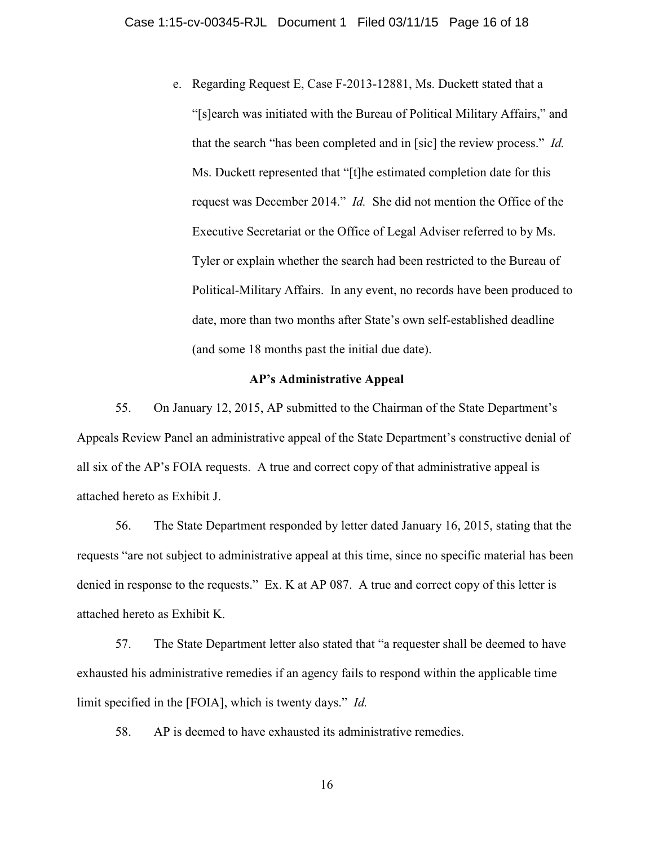e. Regarding Request E, Case F-2013-12881, Ms. Duckett stated that a "[s]earch was initiated with the Bureau of Political Military Affairs," and that the search "has been completed and in [sic] the review process." *Id.*  Ms. Duckett represented that "[t]he estimated completion date for this request was December 2014." *Id.* She did not mention the Office of the Executive Secretariat or the Office of Legal Adviser referred to by Ms. Tyler or explain whether the search had been restricted to the Bureau of Political-Military Affairs. In any event, no records have been produced to date, more than two months after State's own self-established deadline (and some 18 months past the initial due date).

### **AP's Administrative Appeal**

55. On January 12, 2015, AP submitted to the Chairman of the State Department's Appeals Review Panel an administrative appeal of the State Department's constructive denial of all six of the AP's FOIA requests. A true and correct copy of that administrative appeal is attached hereto as Exhibit J.

56. The State Department responded by letter dated January 16, 2015, stating that the requests "are not subject to administrative appeal at this time, since no specific material has been denied in response to the requests." Ex. K at AP 087. A true and correct copy of this letter is attached hereto as Exhibit K.

57. The State Department letter also stated that "a requester shall be deemed to have exhausted his administrative remedies if an agency fails to respond within the applicable time limit specified in the [FOIA], which is twenty days." *Id.*

58. AP is deemed to have exhausted its administrative remedies.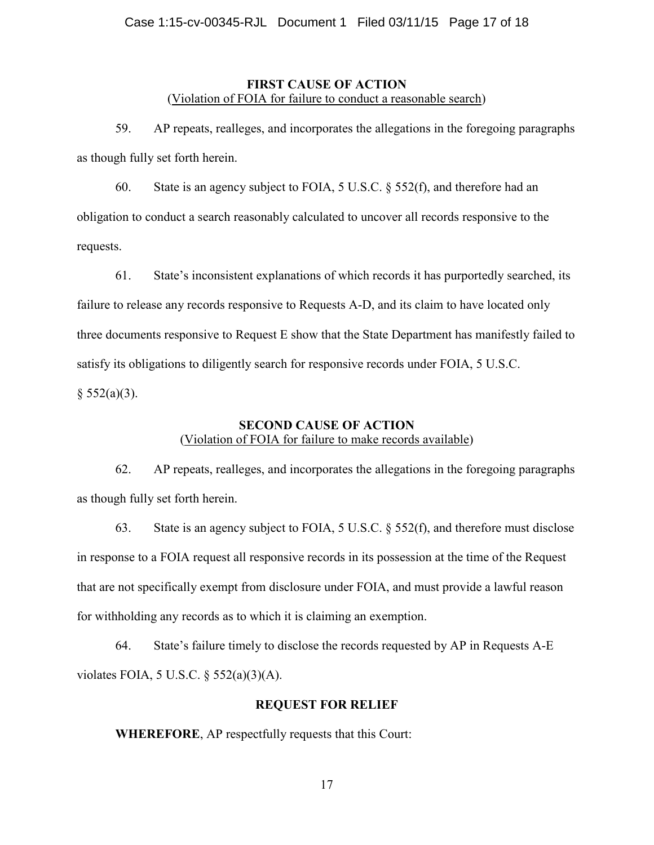# **FIRST CAUSE OF ACTION**  (Violation of FOIA for failure to conduct a reasonable search)

59. AP repeats, realleges, and incorporates the allegations in the foregoing paragraphs as though fully set forth herein.

60. State is an agency subject to FOIA, 5 U.S.C. § 552(f), and therefore had an obligation to conduct a search reasonably calculated to uncover all records responsive to the requests.

61. State's inconsistent explanations of which records it has purportedly searched, its failure to release any records responsive to Requests A-D, and its claim to have located only three documents responsive to Request E show that the State Department has manifestly failed to satisfy its obligations to diligently search for responsive records under FOIA, 5 U.S.C.  $§ 552(a)(3).$ 

# **SECOND CAUSE OF ACTION**  (Violation of FOIA for failure to make records available)

62. AP repeats, realleges, and incorporates the allegations in the foregoing paragraphs as though fully set forth herein.

63. State is an agency subject to FOIA, 5 U.S.C. § 552(f), and therefore must disclose in response to a FOIA request all responsive records in its possession at the time of the Request that are not specifically exempt from disclosure under FOIA, and must provide a lawful reason for withholding any records as to which it is claiming an exemption.

64. State's failure timely to disclose the records requested by AP in Requests A-E violates FOIA, 5 U.S.C. § 552(a)(3)(A).

# **REQUEST FOR RELIEF**

**WHEREFORE**, AP respectfully requests that this Court: